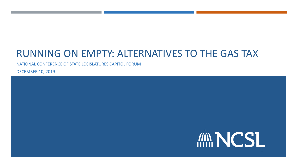## RUNNING ON EMPTY: ALTERNATIVES TO THE GAS TAX

NATIONAL CONFERENCE OF STATE LEGISLATURES CAPITOL FORUM

DECEMBER 10, 2019

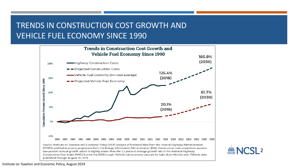## TRENDS IN CONSTRUCTION COST GROWTH AND VEHICLE FUEL ECONOMY SINCE 1990





Institute on Taxation and Economic Policy, August 2019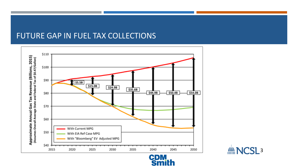### FUTURE GAP IN FUEL TAX COLLECTIONS





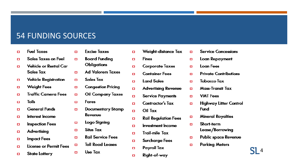#### 54 FUNDING SOURCES

- **Fuel Taxes**  $\Box$
- **Sales Taxes on Fuel**  $\Box$
- **Vehicle or Rental Car**  $\Box$ **Sales Tax**
- **Vehicle Registration**  $\Box$
- **Weight Fees**  $\Box$
- **Traffic Camera Fees**  $\Box$
- **Tolls**  $\Box$
- **General Funds**  $\Box$
- Interest Income  $\Box$
- **Inspection Fees**  $\Box$
- **Advertising**  $\Box$
- **Impact Fees**  $\Box$
- License or Permit Fees  $\Box$
- **State Lottery**  $\Box$

**Excise Taxes**  $\Box$ 

 $\Box$ 

 $\Box$ 

п

 $\Box$ 

 $\Box$ 

п

 $\Box$ 

 $\Box$ 

 $\Box$ 

- **Board Funding**
- **Obligations**
- **Ad Valorem Taxes**
- **Sales Tax**
- **Congestion Pricing**
- **Oil Company Taxes**
- **Fares**
- **Documentary Stamp**  $\Box$ Revenue
- Logo Signing  $\Box$
- **Situs Tax**  $\Box$ 
	- **Rail Service Fees**
	- **Toll Road Leases**
	- Use Tax
- **Weight-distance Tax**  $\Box$ 
	- **Fines**

 $\Box$ 

 $\Box$ 

о

 $\Box$ 

 $\Box$ 

 $\Box$ 

п

 $\Box$ 

- **Corporate Taxes**  $\Box$ 
	- **Container Fees**
	- **Land Sales**
	- **Advertising Revenue**
	- **Service Payments**
	- **Contractor's Tax**
	- Oil Tax
- **Rail Regulation Fees**  $\Box$
- **Investment Income**  $\Box$
- Trail-mile Tax о
- **Surcharge Fees** о
	- Payroll Tax
- Right-of-way  $\Box$
- **Service Concessions**
- Loan Repayment  $\Box$
- **Loan Fees**  $\Box$

 $\Box$ 

- **Private Contributions** о
- **Tobacco Tax**  $\Box$
- **Mass-Transit Tax**  $\Box$
- **VMT Fees**  $\Box$
- **Highway Litter Control** П **Fund**
- **Mineral Royalties**  $\Box$
- Short-term  $\Box$ Lease/Borrowing
- **Public space Revenue**  $\Box$
- **Parking Meters**  $\Box$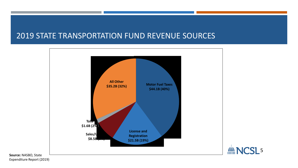### 2019 STATE TRANSPORTATION FUND REVENUE SOURCES





**Source:** NASBO, State Expenditure Report (2019)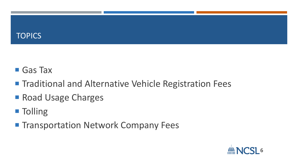## **TOPICS**

# Gas Tax

- Traditional and Alternative Vehicle Registration Fees
- Road Usage Charges
- **Tolling**
- Transportation Network Company Fees

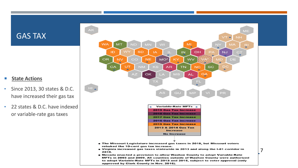#### GAS TAX

#### ■ State Actions

- Since 2013, 30 states & D.C. have increased their gas tax
- 22 states & D.C. have indexed or variable-rate gas taxes

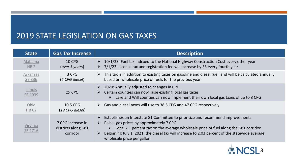## 2019 STATE LEGISLATION ON GAS TAXES

| <b>State</b>               | <b>Gas Tax Increase</b>                               | <b>Description</b>                                                                                                                                                                                                                                                                                                                                                          |
|----------------------------|-------------------------------------------------------|-----------------------------------------------------------------------------------------------------------------------------------------------------------------------------------------------------------------------------------------------------------------------------------------------------------------------------------------------------------------------------|
| Alabama<br>HB <sub>2</sub> | <b>10 CPG</b><br>(over 3 years)                       | $\geq$ 10/1/23: Fuel tax indexed to the National Highway Construction Cost every other year<br>$\triangleright$ 7/1/23: License tax and registration fee will increase by \$3 every fourth year                                                                                                                                                                             |
| Arkansas<br><b>SB 336</b>  | 3 CPG<br>(6 CPG diesel)                               | $\triangleright$ This tax is in addition to existing taxes on gasoline and diesel fuel, and will be calculated annually<br>based on wholesale price of fuels for the previous year                                                                                                                                                                                          |
| <b>Illinois</b><br>SB 1939 | <b>19 CPG</b>                                         | $\geq$ 2020: Annually adjusted to changes in CPI<br>$\triangleright$ Certain counties can now raise existing local gas taxes<br>Lake and Will counties can now implement their own local gas taxes of up to 8 CPG<br>➤                                                                                                                                                      |
| Ohio<br><b>HB 62</b>       | 10.5 CPG<br>$(19 \, \text{CPG} \text{ diesel})$       | $\triangleright$ Gas and diesel taxes will rise to 38.5 CPG and 47 CPG respectively                                                                                                                                                                                                                                                                                         |
| Virginia<br>SB 1716        | 7 CPG increase in<br>districts along I-81<br>corridor | Establishes an Interstate 81 Committee to prioritize and recommend improvements<br>➤<br>Raises gas prices by approximately 7 CPG<br>$\triangleright$<br>Local 2.1 percent tax on the average wholesale price of fuel along the I-81 corridor<br>Beginning July 1, 2021, the diesel tax will increase to 2.03 percent of the statewide average<br>wholesale price per gallon |

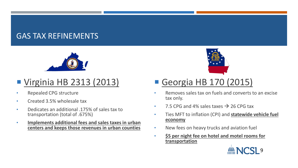## GAS TAX REFINEMENTS



## ■ Virginia HB 2313 (2013)

- Repealed CPG structure
- Created 3.5% wholesale tax
- Dedicates an additional .175% of sales tax to transportation (total of .675%)
- **Implements additional fees and sales taxes in urban centers and keeps those revenues in urban counties**



## Georgia HB 170 (2015)

- Removes sales tax on fuels and converts to an excise tax only.
- 7.5 CPG and 4% sales taxes  $\rightarrow$  26 CPG tax
- Ties MFT to inflation (CPI) and **statewide vehicle fuel economy**
- New fees on heavy trucks and aviation fuel
- **\$5 per night fee on hotel and motel rooms for transportation**

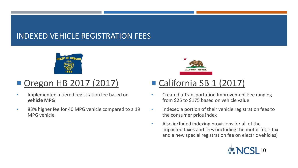## INDEXED VEHICLE REGISTRATION FEES



## ■ Oregon HB 2017 (2017)

- Implemented a tiered registration fee based on **vehicle MPG**
- 83% higher fee for 40 MPG vehicle compared to a 19 MPG vehicle



## ■ California SB 1 (2017)

- Created a Transportation Improvement Fee ranging from \$25 to \$175 based on vehicle value
- Indexed a portion of their vehicle registration fees to the consumer price index
- Also included indexing provisions for all of the impacted taxes and fees (including the motor fuels tax and a new special registration fee on electric vehicles)

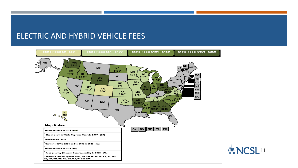#### ELECTRIC AND HYBRID VEHICLE FEES

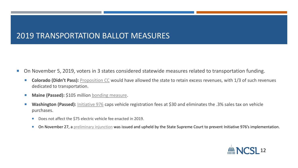### 2019 TRANSPORTATION BALLOT MEASURES

- On November 5, 2019, voters in 3 states considered statewide measures related to transportation funding.
	- **Colorado (Didn't Pass):** [Proposition CC](https://www.sos.state.co.us/pubs/elections/Initiatives/ballot/Statements/2019/HB19-1257RetainingRevenue.pdf) would have allowed the state to retain excess revenues, with 1/3 of such revenues dedicated to transportation.
	- **Maine (Passed):** \$105 million [bonding measure.](http://www.mainelegislature.org/legis/bills/getPDF.asp?paper=SP0634&item=2&snum=129)
	- Washington (Passed): [Initiative 976](https://sos.wa.gov/_assets/elections/initiatives/finaltext_1519.pdf) caps vehicle registration fees at \$30 and eliminates the .3% sales tax on vehicle purchases.
		- Does not affect the \$75 electric vehicle fee enacted in 2019.
		- On November 27, a [preliminary injunction](https://www.governor.wa.gov/sites/default/files/GARFIELD%20COUNTY%20TRANSPORTATION%20AUTHORITY%20ET%20AL%20VS%20STATE%20OF%20WASHINGTON%2C%2019-2-30171-6%20SEA.pdf?utm_medium=email&utm_source=govdelivery) was issued and upheld by the State Supreme Court to prevent Initiative 976's implementation.